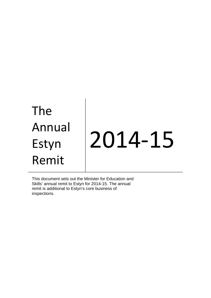# The Annual Estyn Remit 2014-15

This document sets out the Minister for Education and Skills' annual remit to Estyn for 2014-15. The annual remit is additional to Estyn's core business of inspections.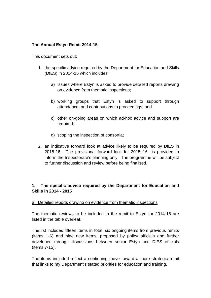## **The Annual Estyn Remit 2014-15**

This document sets out:

- 1. the specific advice required by the Department for Education and Skills (DfES) in 2014-15 which includes:
	- a) issues where Estyn is asked to provide detailed reports drawing on evidence from thematic inspections;
	- b) working groups that Estyn is asked to support through attendance; and contributions to proceedings; and
	- c) other on-going areas on which ad-hoc advice and support are required;
	- d) scoping the inspection of consortia;
- 2. an indicative forward look at advice likely to be required by DfES in 2015-16. The provisional forward look for 2015–16 is provided to inform the Inspectorate's planning only. The programme will be subject to further discussion and review before being finalised.

### **1. The specific advice required by the Department for Education and Skills in 2014 - 2015**

#### a) Detailed reports drawing on evidence from thematic inspections

The thematic reviews to be included in the remit to Estyn for 2014-15 are listed in the table overleaf.

The list includes fifteen items in total, six ongoing items from previous remits (items 1-6) and nine new items, proposed by policy officials and further developed through discussions between senior Estyn and DfES officials (items 7-15).

The items included reflect a continuing move toward a more strategic remit that links to my Department's stated priorities for education and training.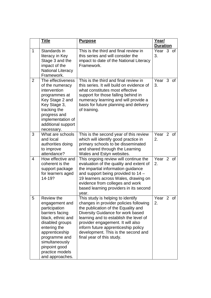|   | <b>Title</b>                                                                                                                                                                                                                                | <b>Purpose</b>                                                                                                                                                                                                                                                                                                                                    | Year/<br><b>Duration</b> |   |        |
|---|---------------------------------------------------------------------------------------------------------------------------------------------------------------------------------------------------------------------------------------------|---------------------------------------------------------------------------------------------------------------------------------------------------------------------------------------------------------------------------------------------------------------------------------------------------------------------------------------------------|--------------------------|---|--------|
| 1 | Standards in<br>literacy in Key<br>Stage 3 and the<br>impact of the<br><b>National Literacy</b><br>Framework.                                                                                                                               | This is the third and final review in<br>this series and will consider the<br>impact to date of the National Literacy<br>Framework.                                                                                                                                                                                                               | Year 3 of<br>3.          |   |        |
| 2 | The effectiveness<br>of the numeracy<br>intervention<br>programmes at<br>Key Stage 2 and<br>Key Stage 3,<br>tracking the<br>progress and<br>implementation of<br>additional support<br>necessary.                                           | This is the third and final review in<br>this series. It will build on evidence of<br>what constitutes most effective<br>support for those falling behind in<br>numeracy learning and will provide a<br>basis for future planning and delivery<br>of training.                                                                                    | Year<br>3.               | 3 | 0f     |
| 3 | What are schools<br>and local<br>authorities doing<br>to improve<br>attendance?                                                                                                                                                             | This is the second year of this review<br>which will identify good practice in<br>primary schools to be disseminated<br>and shared through the Learning<br>Wales and Estyn websites.                                                                                                                                                              | Year<br>2.               |   | $2$ of |
| 4 | How effective and<br>coherent is the<br>support package<br>for learners aged<br>14-19?                                                                                                                                                      | This ongoing review will continue the<br>evaluation of the quality and extent of<br>the impartial information guidance<br>and support being provided to 14 -<br>19 learners across Wales, drawing on<br>evidence from colleges and work<br>based learning providers in its second<br>year.                                                        | Year 2 of<br>2.          |   |        |
| 5 | <b>Review the</b><br>engagement and<br>participation<br>barriers facing<br>black, ethnic and<br>disabled groups<br>entering the<br>apprenticeship<br>programme and<br>simultaneously<br>pinpoint good<br>practice models<br>and approaches. | This study is helping to identify<br>changes in provider policies following<br>the publication of the Equality and<br>Diversity Guidance for work based<br>learning and to establish the level of<br>provider engagement. It will also<br>inform future apprenticeship policy<br>development. This is the second and<br>final year of this study. | Year 2 of<br>2.          |   |        |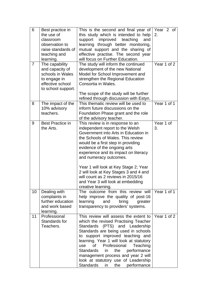| 6               | Best practice in<br>the use of<br>classroom<br>observation to<br>raise standards of<br>teaching and<br>learning. | This is the second and final year of<br>this study which is intended to help<br>support<br>improved<br>teaching<br>and<br>learning through better monitoring,<br>mutual support and the sharing of<br>effective practise. The second year<br>will focus on Further Education.                                                                                                                                                                                                | Year 2 of<br>2. |
|-----------------|------------------------------------------------------------------------------------------------------------------|------------------------------------------------------------------------------------------------------------------------------------------------------------------------------------------------------------------------------------------------------------------------------------------------------------------------------------------------------------------------------------------------------------------------------------------------------------------------------|-----------------|
| $\overline{7}$  | The capability<br>and capacity of<br>schools in Wales<br>to engage in<br>effective school<br>to school support.  | The study will inform the continued<br>development of the new National<br>Model for School Improvement and<br>strengthen the Regional Education<br>Consortia in Wales.<br>The scope of the study will be further<br>refined through discussion with Estyn.                                                                                                                                                                                                                   | Year 1 of 2     |
| 8               | The impact of the<br>10% advisory<br>teachers.                                                                   | This thematic review will be used to<br>inform future discussions on the<br>Foundation Phase grant and the role<br>of the advisory teacher.                                                                                                                                                                                                                                                                                                                                  | Year 1 of 1     |
| 9               | <b>Best Practice in</b><br>the Arts.                                                                             | This review is in response to an<br>independent report to the Welsh<br>Government into Arts in Education in<br>the Schools of Wales. This review<br>would be a first step in providing<br>evidence of the ongoing arts<br>experience and its impact on literacy<br>and numeracy outcomes.<br>Year 1 will look at Key Stage 2; Year<br>2 will look at Key Stages 3 and 4 and<br>will count as 2 reviews in 2015/16<br>and Year 3 will look at embedding<br>creative learning. | Year 1 of<br>3. |
| 10 <sup>1</sup> | Dealing with<br>complaints in<br>further education<br>and work based<br>learning.                                | The outcome from this review will<br>help improve the quality of post-16<br>learning<br>and<br>bring<br>greater<br>transparency to providers' systems.                                                                                                                                                                                                                                                                                                                       | Year 1 of 1     |
| 11              | Professional<br>Standards for<br>Teachers.                                                                       | This review will assess the extent to<br>which the revised Practising Teacher<br>Standards (PTS) and Leadership<br>Standards are being used in schools<br>to support improved teaching and<br>learning. Year 1 will look at statutory<br>of<br>Professional<br>Teaching<br>use<br>performance<br>Standards<br>the<br>$\mathsf{in}$<br>management process and year 2 will<br>look at statutory use of Leadership<br>Standards<br>in<br>the<br>performance                     | Year 1 of 2     |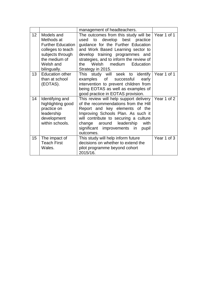|                 |                                                                                                                                             | management of headteachers.                                                                                                                                                                                                                                                              |             |
|-----------------|---------------------------------------------------------------------------------------------------------------------------------------------|------------------------------------------------------------------------------------------------------------------------------------------------------------------------------------------------------------------------------------------------------------------------------------------|-------------|
| 12 <sup>2</sup> | Models and<br>Methods at<br><b>Further Education</b><br>colleges to teach<br>subjects through<br>the medium of<br>Welsh and<br>bilingually. | The outcomes from this study will be<br>used to develop best practice<br>guidance for the Further Education<br>and Work Based Learning sector to<br>develop training programmes and<br>strategies, and to inform the review of<br>the Welsh medium Education<br>Strategy in 2015.        | Year 1 of 1 |
| 13 <sup>°</sup> | <b>Education other</b><br>than at school<br>(EOTAS).                                                                                        | This study will seek to identify<br>examples of<br>successful<br>early<br>intervention to prevent children from<br>being EOTAS as well as examples of<br>good practice in EOTAS provision.                                                                                               | Year 1 of 1 |
| 14              | Identifying and<br>highlighting good<br>practice on<br>leadership<br>development<br>within schools.                                         | This review will help support delivery<br>of the recommendations from the Hill<br>Report and key elements of the<br>Improving Schools Plan. As such it<br>will contribute to securing a culture<br>change around leadership<br>with<br>significant improvements in<br>pupil<br>outcomes. | Year 1 of 2 |
| 15              | The impact of<br><b>Teach First</b><br>Wales.                                                                                               | This study will help inform future<br>decisions on whether to extend the<br>pilot programme beyond cohort<br>2015/16.                                                                                                                                                                    | Year 1 of 3 |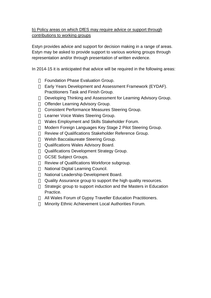## b) Policy areas on which DfES may require advice or support through contributions to working groups

Estyn provides advice and support for decision making in a range of areas. Estyn may be asked to provide support to various working groups through representation and/or through presentation of written evidence.

In 2014-15 it is anticipated that advice will be required in the following areas:

Foundation Phase Evaluation Group. Early Years Development and Assessment Framework (EYDAF). Practitioners Task and Finish Group. Developing Thinking and Assessment for Learning Advisory Group. Offender Learning Advisory Group. Consistent Performance Measures Steering Group. Learner Voice Wales Steering Group. Wales Employment and Skills Stakeholder Forum. Modern Foreign Languages Key Stage 2 Pilot Steering Group. Review of Qualifications Stakeholder Reference Group. Welsh Baccalaureate Steering Group. Qualifications Wales Advisory Board. Qualifications Development Strategy Group. GCSE Subject Groups. Review of Qualifications Workforce subgroup. National Digital Learning Council. National Leadership Development Board. Quality Assurance group to support the high quality resources. Strategic group to support induction and the Masters in Education Practice. All Wales Forum of Gypsy Traveller Education Practitioners. Minority Ethnic Achievement Local Authorities Forum.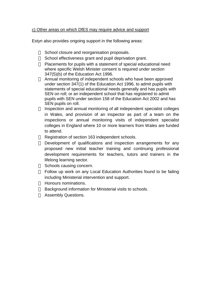#### c) Other areas on which DfES may require advice and support

Estyn also provides ongoing support in the following areas:

School closure and reorganisation proposals.

School effectiveness grant and pupil deprivation grant.

Placements for pupils with a statement of special educational need where specific Welsh Minister consent is required under section 347(5)(b) of the Education Act 1996.

Annual monitoring of independent schools who have been approved under section 347(1) of the Education Act 1996, to admit pupils with statements of special educational needs generally and has pupils with SEN on roll; or an independent school that has registered to admit pupils with SEN under section 158 of the Education Act 2002 and has SEN pupils on roll.

Inspection and annual monitoring of all independent specialist colleges in Wales, and provision of an inspector as part of a team on the inspections or annual monitoring visits of independent specialist colleges in England where 10 or more learners from Wales are funded to attend.

Registration of section 163 independent schools.

Development of qualifications and inspection arrangements for any proposed new initial teacher training and continuing professional development requirements for teachers, tutors and trainers in the lifelong learning sector.

Schools causing concern.

Follow up work on any Local Education Authorities found to be failing including Ministerial intervention and support.

Honours nominations.

Background information for Ministerial visits to schools.

Assembly Questions.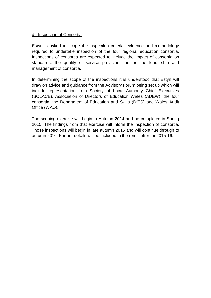#### d) Inspection of Consortia

Estyn is asked to scope the inspection criteria, evidence and methodology required to undertake inspection of the four regional education consortia. Inspections of consortia are expected to include the impact of consortia on standards, the quality of service provision and on the leadership and management of consortia.

In determining the scope of the inspections it is understood that Estyn will draw on advice and guidance from the Advisory Forum being set up which will include representation from Society of Local Authority Chief Executives (SOLACE), Association of Directors of Education Wales (ADEW), the four consortia, the Department of Education and Skills (DfES) and Wales Audit Office (WAO).

The scoping exercise will begin in Autumn 2014 and be completed in Spring 2015. The findings from that exercise will inform the inspection of consortia. Those inspections will begin in late autumn 2015 and will continue through to autumn 2016. Further details will be included in the remit letter for 2015-16.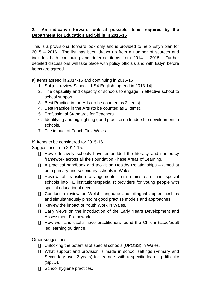## **2. An indicative forward look at possible items required by the Department for Education and Skills in 2015-16**

This is a provisional forward look only and is provided to help Estyn plan for 2015 – 2016. The list has been drawn up from a number of sources and includes both continuing and deferred items from 2014 – 2015. Further detailed discussions will take place with policy officials and with Estyn before items are agreed.

a) Items agreed in 2014-15 and continuing in 2015-16

- 1. Subject review Schools: KS4 English [agreed in 2013-14].
- 2. The capability and capacity of schools to engage in effective school to school support.
- 3. Best Practice in the Arts (to be counted as 2 items).
- 4. Best Practice in the Arts (to be counted as 2 items).
- 5. Professional Standards for Teachers.
- 6. Identifying and highlighting good practice on leadership development in schools.
- 7. The impact of Teach First Wales.

#### b) Items to be considered for 2015-16

Suggestions from 2014-15:

How effectively schools have embedded the literacy and numeracy framework across all the Foundation Phase Areas of Learning.

A practical handbook and toolkit on Healthy Relationships – aimed at both primary and secondary schools in Wales.

Review of transition arrangements from mainstream and special schools into FE institutions/specialist providers for young people with special educational needs.

Conduct a review on Welsh language and bilingual apprenticeships and simultaneously pinpoint good practise models and approaches.

Review the impact of Youth Work in Wales.

Early views on the introduction of the Early Years Development and Assessment Framework.

How well and useful have practitioners found the Child-initiated/adult led learning guidance.

Other suggestions:

Unlocking the potential of special schools (UPOSS) in Wales.

What support and provision is made in school settings (Primary and Secondary over 2 years) for learners with a specific learning difficulty (SpLD).

School hygiene practices.